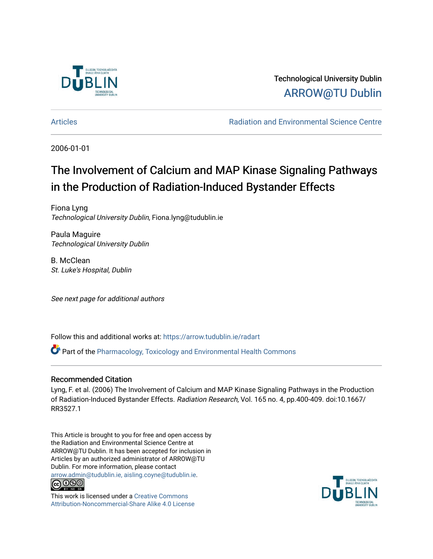

Technological University Dublin [ARROW@TU Dublin](https://arrow.tudublin.ie/) 

[Articles](https://arrow.tudublin.ie/radart) [Radiation and Environmental Science Centre](https://arrow.tudublin.ie/rad) 

2006-01-01

# The Involvement of Calcium and MAP Kinase Signaling Pathways in the Production of Radiation-Induced Bystander Effects

Fiona Lyng Technological University Dublin, Fiona.lyng@tudublin.ie

Paula Maguire Technological University Dublin

B. McClean St. Luke's Hospital, Dublin

See next page for additional authors

Follow this and additional works at: [https://arrow.tudublin.ie/radart](https://arrow.tudublin.ie/radart?utm_source=arrow.tudublin.ie%2Fradart%2F30&utm_medium=PDF&utm_campaign=PDFCoverPages) 

 $\bullet$  Part of the Pharmacology, Toxicology and Environmental Health Commons

## Recommended Citation

Lyng, F. et al. (2006) The Involvement of Calcium and MAP Kinase Signaling Pathways in the Production of Radiation-Induced Bystander Effects. Radiation Research, Vol. 165 no. 4, pp.400-409. doi:10.1667/ RR3527.1

This Article is brought to you for free and open access by the Radiation and Environmental Science Centre at ARROW@TU Dublin. It has been accepted for inclusion in Articles by an authorized administrator of ARROW@TU Dublin. For more information, please contact [arrow.admin@tudublin.ie, aisling.coyne@tudublin.ie](mailto:arrow.admin@tudublin.ie,%20aisling.coyne@tudublin.ie).



This work is licensed under a [Creative Commons](http://creativecommons.org/licenses/by-nc-sa/4.0/) [Attribution-Noncommercial-Share Alike 4.0 License](http://creativecommons.org/licenses/by-nc-sa/4.0/)

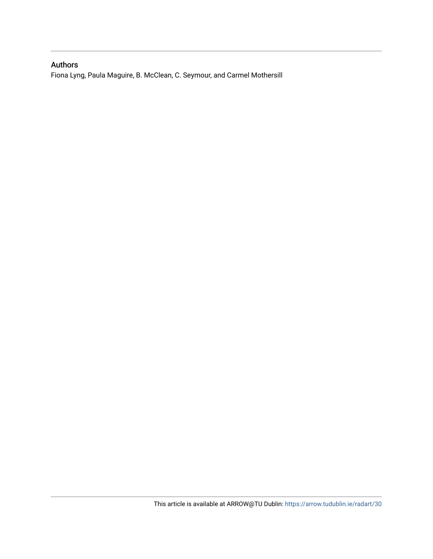## Authors

Fiona Lyng, Paula Maguire, B. McClean, C. Seymour, and Carmel Mothersill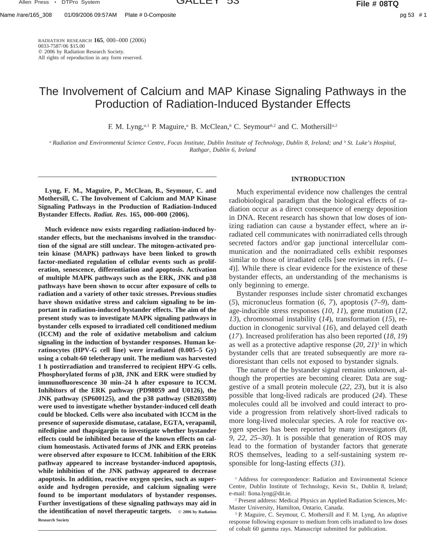Name /rare/165\_308 01/09/2006 09:57AM Plate # 0-Composite pg 53 # 1

RADIATION RESEARCH **165**, 000–000 (2006) 0033-7587/06 \$15.00  $©$  2006 by Radiation Research Society. All rights of reproduction in any form reserved.

## The Involvement of Calcium and MAP Kinase Signaling Pathways in the Production of Radiation-Induced Bystander Effects

F. M. Lyng,*a,*<sup>1</sup> P. Maguire,*<sup>a</sup>* B. McClean,*<sup>b</sup>* C. Seymour*b,*<sup>2</sup> and C. Mothersill*a,*<sup>2</sup>

*<sup>a</sup> Radiation and Environmental Science Centre, Focas Institute, Dublin Institute of Technology, Dublin 8, Ireland; and <sup>b</sup> St. Luke's Hospital, Rathgar, Dublin 6, Ireland*

**Lyng, F. M., Maguire, P., McClean, B., Seymour, C. and Mothersill, C. The Involvement of Calcium and MAP Kinase Signaling Pathways in the Production of Radiation-Induced Bystander Effects.** *Radiat. Res.* **165, 000–000 (2006).**

**Much evidence now exists regarding radiation-induced bystander effects, but the mechanisms involved in the transduction of the signal are still unclear. The mitogen-activated protein kinase (MAPK) pathways have been linked to growth factor-mediated regulation of cellular events such as proliferation, senescence, differentiation and apoptosis. Activation of multiple MAPK pathways such as the ERK, JNK and p38 pathways have been shown to occur after exposure of cells to radiation and a variety of other toxic stresses. Previous studies have shown oxidative stress and calcium signaling to be important in radiation-induced bystander effects. The aim of the present study was to investigate MAPK signaling pathways in bystander cells exposed to irradiated cell conditioned medium (ICCM) and the role of oxidative metabolism and calcium signaling in the induction of bystander responses. Human keratinocytes (HPV-G cell line) were irradiated (0.005–5 Gy) using a cobalt-60 teletherapy unit. The medium was harvested 1 h postirradiation and transferred to recipient HPV-G cells. Phosphorylated forms of p38, JNK and ERK were studied by immunofluorescence 30 min–24 h after exposure to ICCM. Inhibitors of the ERK pathway (PD98059 and U0126), the JNK pathway (SP600125), and the p38 pathway (SB203580) were used to investigate whether bystander-induced cell death could be blocked. Cells were also incubated with ICCM in the presence of superoxide dismutase, catalase, EGTA, verapamil, nifedipine and thapsigargin to investigate whether bystander effects could be inhibited because of the known effects on calcium homeostasis. Activated forms of JNK and ERK proteins were observed after exposure to ICCM. Inhibition of the ERK pathway appeared to increase bystander-induced apoptosis, while inhibition of the JNK pathway appeared to decrease apoptosis. In addition, reactive oxygen species, such as superoxide and hydrogen peroxide, and calcium signaling were found to be important modulators of bystander responses. Further investigations of these signaling pathways may aid in** the identification of novel therapeutic targets.  $Q$  2006 by Radiation **Research Society**

## **INTRODUCTION**

Much experimental evidence now challenges the central radiobiological paradigm that the biological effects of radiation occur as a direct consequence of energy deposition in DNA. Recent research has shown that low doses of ionizing radiation can cause a bystander effect, where an irradiated cell communicates with nonirradiated cells through secreted factors and/or gap junctional intercellular communication and the nonirradiated cells exhibit responses similar to those of irradiated cells [see reviews in refs. (*1– 4*)]. While there is clear evidence for the existence of these bystander effects, an understanding of the mechanisms is only beginning to emerge.

Bystander responses include sister chromatid exchanges (*5*), micronucleus formation (*6, 7*), apoptosis (*7–9*), damage-inducible stress responses (*10, 11*), gene mutation (*12, 13*), chromosomal instability (*14*), transformation (*15*), reduction in clonogenic survival (*16*), and delayed cell death (*17*). Increased proliferation has also been reported (*18, 19*) as well as a protective adaptive response (*20, 21*)3 in which bystander cells that are treated subsequently are more radioresistant than cells not exposed to bystander signals.

The nature of the bystander signal remains unknown, although the properties are becoming clearer. Data are suggestive of a small protein molecule (*22, 23*), but it is also possible that long-lived radicals are produced (*24*). These molecules could all be involved and could interact to provide a progression from relatively short-lived radicals to more long-lived molecular species. A role for reactive oxygen species has been reported by many investigators (*8, 9, 22, 25–30*). It is possible that generation of ROS may lead to the formation of bystander factors that generate ROS themselves, leading to a self-sustaining system responsible for long-lasting effects (*31*).

<sup>1</sup> Address for correspondence: Radiation and Environmental Science Centre, Dublin Institute of Technology, Kevin St., Dublin 8, Ireland; e-mail: fiona.lyng@dit.ie.

<sup>2</sup> Present address: Medical Physics an Applied Radiation Sciences, Mc-Master University, Hamilton, Ontario, Canada.

<sup>3</sup> P. Maguire, C. Seymour, C. Mothersill and F. M. Lyng, An adaptive response following exposure to medium from cells irradiated to low doses of cobalt 60 gamma rays. Manuscript submitted for publication.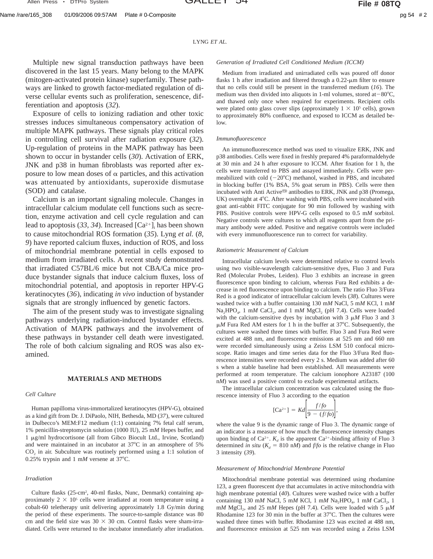Multiple new signal transduction pathways have been discovered in the last 15 years. Many belong to the MAPK (mitogen-activated protein kinase) superfamily. These pathways are linked to growth factor-mediated regulation of diverse cellular events such as proliferation, senescence, differentiation and apoptosis (*32*).

Exposure of cells to ionizing radiation and other toxic stresses induces simultaneous compensatory activation of multiple MAPK pathways. These signals play critical roles in controlling cell survival after radiation exposure (*32*). Up-regulation of proteins in the MAPK pathway has been shown to occur in bystander cells (*30*). Activation of ERK, JNK and p38 in human fibroblasts was reported after exposure to low mean doses of  $\alpha$  particles, and this activation was attenuated by antioxidants, superoxide dismutase (SOD) and catalase.

Calcium is an important signaling molecule. Changes in intracellular calcium modulate cell functions such as secretion, enzyme activation and cell cycle regulation and can lead to apoptosis  $(33, 34)$ . Increased  $[Ca^{2+}]$ <sub>i</sub> has been shown to cause mitochondrial ROS formation (*35*). Lyng *et al.* (*8, 9*) have reported calcium fluxes, induction of ROS, and loss of mitochondrial membrane potential in cells exposed to medium from irradiated cells. A recent study demonstrated that irradiated C57BL/6 mice but not CBA/Ca mice produce bystander signals that induce calcium fluxes, loss of mitochondrial potential, and apoptosis in reporter HPV-G keratinocytes (*36*), indicating *in vivo* induction of bystander signals that are strongly influenced by genetic factors.

The aim of the present study was to investigate signaling pathways underlying radiation-induced bystander effects. Activation of MAPK pathways and the involvement of these pathways in bystander cell death were investigated. The role of both calcium signaling and ROS was also examined.

## **MATERIALS AND METHODS**

#### *Cell Culture*

Human papilloma virus-immortalized keratinocytes (HPV-G), obtained as a kind gift from Dr. J. DiPaolo, NIH, Bethesda, MD (*37*), were cultured in Dulbecco's MEM:F12 medium (1:1) containing 7% fetal calf serum, 1% penicillin-streptomycin solution (1000 IU), 25 m*M* Hepes buffer, and 1 mg/ml hydrocortisone (all from Gibco Biocult Ltd., Irvine, Scotland) and were maintained in an incubator at  $37^{\circ}$ C in an atmosphere of 5%  $CO<sub>2</sub>$  in air. Subculture was routinely performed using a 1:1 solution of 0.25% trypsin and 1 mM versene at  $37^{\circ}$ C.

## *Irradiation*

Culture flasks (25-cm<sup>2</sup>, 40-ml flasks, Nunc, Denmark) containing approximately  $2 \times 10^5$  cells were irradiated at room temperature using a cobalt-60 teletherapy unit delivering approximately 1.8 Gy/min during the period of these experiments. The source-to-sample distance was 80 cm and the field size was  $30 \times 30$  cm. Control flasks were sham-irradiated. Cells were returned to the incubator immediately after irradiation.

## *Generation of Irradiated Cell Conditioned Medium (ICCM)*

Medium from irradiated and unirradiated cells was poured off donor flasks 1 h after irradiation and filtered through a  $0.22$ - $\mu$ m filter to ensure that no cells could still be present in the transferred medium (*16*). The medium was then divided into aliquots in 1-ml volumes, stored at  $-80^{\circ}$ C, and thawed only once when required for experiments. Recipient cells were plated onto glass cover slips (approximately  $1 \times 10^5$  cells), grown to approximately 80% confluence, and exposed to ICCM as detailed below.

## *Immunofluorescence*

An immunofluorescence method was used to visualize ERK, JNK and p38 antibodies. Cells were fixed in freshly prepared 4% paraformaldehyde at 30 min and 24 h after exposure to ICCM. After fixation for 1 h, the cells were transferred to PBS and assayed immediately. Cells were permeabilized with cold  $(-20^{\circ}C)$  methanol, washed in PBS, and incubated in blocking buffer (1% BSA, 5% goat serum in PBS). Cells were then incubated with Anti Active<sup>®</sup> antibodies to ERK, JNK and  $p38$  (Promega, UK) overnight at 4°C. After washing with PBS, cells were incubated with goat anti-rabbit FITC conjugate for 90 min followed by washing with PBS. Positive controls were HPV-G cells exposed to 0.5 m*M* sorbitol. Negative controls were cultures to which all reagents apart from the primary antibody were added. Positive and negative controls were included with every immunofluorescence run to correct for variability.

#### *Ratiometric Measurement of Calcium*

Intracellular calcium levels were determined relative to control levels using two visible-wavelength calcium-sensitive dyes, Fluo 3 and Fura Red (Molecular Probes, Leiden). Fluo 3 exhibits an increase in green fluorescence upon binding to calcium, whereas Fura Red exhibits a decrease in red fluorescence upon binding to calcium. The ratio Fluo 3/Fura Red is a good indicator of intracellular calcium levels (*38*). Cultures were washed twice with a buffer containing 130 m*M* NaCl, 5 m*M* KCl, 1 m*M* Na<sub>2</sub>HPO<sub>4</sub>, 1 m*M* CaCl<sub>2</sub>, and 1 m*M* MgCl<sub>2</sub> (pH 7.4). Cells were loaded with the calcium-sensitive dyes by incubation with  $3 \mu M$  Fluo  $3$  and  $3$  $\mu$ *M* Fura Red AM esters for 1 h in the buffer at 37°C. Subsequently, the cultures were washed three times with buffer. Fluo 3 and Fura Red were excited at 488 nm, and fluorescence emissions at 525 nm and 660 nm were recorded simultaneously using a Zeiss LSM 510 confocal microscope. Ratio images and time series data for the Fluo 3/Fura Red fluorescence intensities were recorded every 2 s. Medium was added after 60 s when a stable baseline had been established. All measurements were performed at room temperature. The calcium ionophore A23187 (100 n*M*) was used a positive control to exclude experimental artifacts.

The intracellular calcium concentration was calculated using the fluorescence intensity of Fluo 3 according to the equation

$$
[Ca^{2+}] = Kd\left[\frac{f/fo}{9 - (f/fo)}\right],
$$

where the value 9 is the dynamic range of Fluo 3. The dynamic range of an indicator is a measure of how much the fluorescence intensity changes upon binding of Ca<sup>2+</sup>.  $K_d$  is the apparent Ca<sup>2+</sup>-binding affinity of Fluo 3 determined *in situ* ( $K_d = 810$  n*M*) and  $f/f$  is the relative change in Fluo 3 intensity (*39*).

## *Measurement of Mitochondrial Membrane Potential*

Mitochondrial membrane potential was determined using rhodamine 123, a green fluorescent dye that accumulates in active mitochondria with high membrane potential (*40*). Cultures were washed twice with a buffer containing 130 m*M* NaCl, 5 m*M* KCl, 1 m*M* Na<sub>2</sub>HPO<sub>4</sub>, 1 m*M* CaCl<sub>2</sub>, 1 m*M* MgCl<sub>2</sub>, and 25 m*M* Hepes (pH 7.4). Cells were loaded with 5  $\mu$ *M* Rhodamine 123 for 30 min in the buffer at  $37^{\circ}$ C. Then the cultures were washed three times with buffer. Rhodamine 123 was excited at 488 nm, and fluorescence emission at 525 nm was recorded using a Zeiss LSM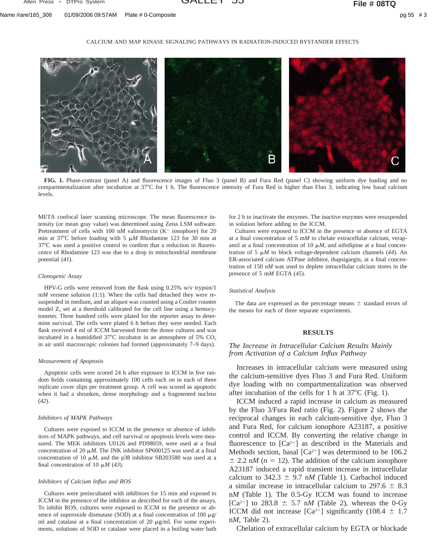### CALCIUM AND MAP KINASE SIGNALING PATHWAYS IN RADIATION-INDUCED BYSTANDER EFFECTS



**FIG. 1.** Phase-contrast (panel A) and fluorescence images of Fluo 3 (panel B) and Fura Red (panel C) showing uniform dye loading and no compartmentalization after incubation at  $37^{\circ}$ C for 1 h. The fluorescence intensity of Fura Red is higher than Fluo 3, indicating low basal calcium levels.

META confocal laser scanning microscope. The mean fluorescence intensity (or mean gray value) was determined using Zeiss LSM software. Pretreatment of cells with 100 nM valinomycin (K<sup>+</sup> ionophore) for 20 min at 37°C before loading with 5  $\mu$ *M* Rhodamine 123 for 30 min at  $37^{\circ}$ C was used a positive control to confirm that a reduction in fluorescence of Rhodamine 123 was due to a drop in mitochondrial membrane potential (*41*).

#### *Clonogenic Assay*

HPV-G cells were removed from the flask using 0.25% w/v trypsin/1 m*M* versene solution (1:1). When the cells had detached they were resuspended in medium, and an aliquot was counted using a Coulter counter model  $Z_2$  set at a threshold calibrated for the cell line using a hemocytometer. Three hundred cells were plated for the reporter assay to determine survival. The cells were plated 6 h before they were needed. Each flask received 4 ml of ICCM harvested from the donor cultures and was incubated in a humidified  $37^{\circ}$ C incubator in an atmosphere of 5% CO<sub>2</sub> in air until macroscopic colonies had formed (approximately 7–9 days).

#### *Measurement of Apoptosis*

Apoptotic cells were scored 24 h after exposure to ICCM in five random fields containing approximately 100 cells each on in each of three replicate cover slips per treatment group. A cell was scored as apoptotic when it had a shrunken, dense morphology and a fragmented nucleus (*42*).

#### *Inhibitors of MAPK Pathways*

Cultures were exposed to ICCM in the presence or absence of inhibitors of MAPK pathways, and cell survival or apoptosis levels were measured. The MEK inhibitors U0126 and PD98059, were used at a final concentration of 20  $\mu$ *M*. The JNK inhibitor SP600125 was used at a final concentration of 10  $\mu$ *M*, and the p38 inhibitor SB203580 was used at a final concentration of 10  $\mu$ *M* (43).

#### *Inhibitors of Calcium Influx and ROS*

Cultures were preincubated with inhibitors for 15 min and exposed to ICCM in the presence of the inhibitor as described for each of the assays. To inhibit ROS, cultures were exposed to ICCM in the presence or absence of superoxide dismutase (SOD) at a final concentration of 100  $\mu$ g/ ml and catalase at a final concentration of 20  $\mu$ g/ml. For some experiments, solutions of SOD or catalase were placed in a boiling water bath

for 2 h to inactivate the enzymes. The inactive enzymes were resuspended in solution before adding to the ICCM.

Cultures were exposed to ICCM in the presence or absence of EGTA at a final concentration of 5 m*M* to chelate extracellular calcium, verapamil at a final concentration of 10  $\mu$ *M*, and nifedipine at a final concentration of 5  $\mu$ *M* to block voltage-dependent calcium channels (44). An ER-associated calcium ATPase inhibitor, thapsigargin, at a final concentration of 150 n*M* was used to deplete intracellular calcium stores in the presence of 5 m*M* EGTA (*45*).

#### *Statistical Analysis*

The data are expressed as the percentage means  $\pm$  standard errors of the means for each of three separate experiments.

### **RESULTS**

## *The Increase in Intracellular Calcium Results Mainly from Activation of a Calcium Influx Pathway*

Increases in intracellular calcium were measured using the calcium-sensitive dyes Fluo 3 and Fura Red. Uniform dye loading with no compartmentalization was observed after incubation of the cells for 1 h at  $37^{\circ}$ C (Fig. 1).

ICCM induced a rapid increase in calcium as measured by the Fluo 3/Fura Red ratio (Fig. 2). Figure 2 shows the reciprocal changes in each calcium-sensitive dye, Fluo 3 and Fura Red, for calcium ionophore A23187, a positive control and ICCM. By converting the relative change in fluorescence to  $[Ca^{2+}]$  as described in the Materials and Methods section, basal  $[Ca^{2+}]$  was determined to be 106.2  $\pm$  2.2 n*M* ( $n = 12$ ). The addition of the calcium ionophore A23187 induced a rapid transient increase in intracellular calcium to  $342.3 \pm 9.7$  nM (Table 1). Carbachol induced a similar increase in intracellular calcium to  $297.6 \pm 8.3$ n*M* (Table 1). The 0.5-Gy ICCM was found to increase  $[Ca^{2+}]$  to 283.8  $\pm$  5.7 n*M* (Table 2), whereas the 0-Gy ICCM did not increase [Ca<sup>2+</sup>] significantly (108.4  $\pm$  1.7 n*M*, Table 2).

Chelation of extracellular calcium by EGTA or blockade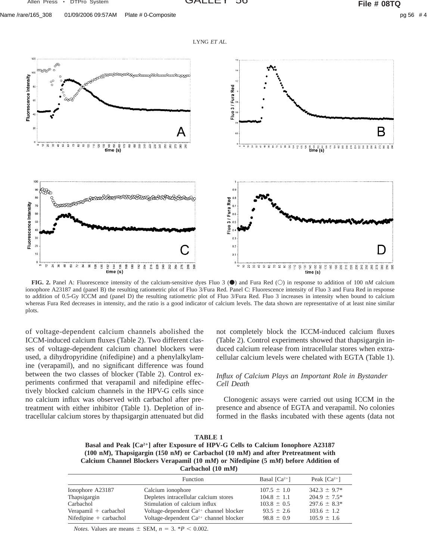LYNG *ET AL.*



**FIG. 2.** Panel A: Fluorescence intensity of the calcium-sensitive dyes Fluo 3 ( $\bullet$ ) and Fura Red ( $\circ$ ) in response to addition of 100 n*M* calcium ionophore A23187 and (panel B) the resulting ratiometric plot of Fluo 3/Fura Red. Panel C: Fluorescence intensity of Fluo 3 and Fura Red in response to addition of 0.5-Gy ICCM and (panel D) the resulting ratiometric plot of Fluo 3/Fura Red. Fluo 3 increases in intensity when bound to calcium whereas Fura Red decreases in intensity, and the ratio is a good indicator of calcium levels. The data shown are representative of at least nine similar plots.

of voltage-dependent calcium channels abolished the ICCM-induced calcium fluxes (Table 2). Two different classes of voltage-dependent calcium channel blockers were used, a dihydropyridine (nifedipine) and a phenylalkylamine (verapamil), and no significant difference was found between the two classes of blocker (Table 2). Control experiments confirmed that verapamil and nifedipine effectively blocked calcium channels in the HPV-G cells since no calcium influx was observed with carbachol after pretreatment with either inhibitor (Table 1). Depletion of intracellular calcium stores by thapsigargin attenuated but did not completely block the ICCM-induced calcium fluxes (Table 2). Control experiments showed that thapsigargin induced calcium release from intracellular stores when extracellular calcium levels were chelated with EGTA (Table 1).

## *Influx of Calcium Plays an Important Role in Bystander Cell Death*

Clonogenic assays were carried out using ICCM in the presence and absence of EGTA and verapamil. No colonies formed in the flasks incubated with these agents (data not

| <b>TABLE 1</b>                                                                                         |  |  |
|--------------------------------------------------------------------------------------------------------|--|--|
| Basal and Peak [Ca <sup>2+</sup> ] after Exposure of HPV-G Cells to Calcium Ionophore A23187           |  |  |
| $(100 \text{ nM})$ , Thapsigargin (150 nM) or Carbachol (10 mM) and after Pretreatment with            |  |  |
| Calcium Channel Blockers Verapamil $(10 \text{ mM})$ or Nifedipine $(5 \text{ mM})$ before Addition of |  |  |
| Carbachol $(10 \text{ m})$                                                                             |  |  |

|                          | Function                                           | Basal $[Ca^{2+}]$ | Peak $\lceil Ca^{2+} \rceil$ |
|--------------------------|----------------------------------------------------|-------------------|------------------------------|
| Ionophore A23187         | Calcium ionophore                                  | $107.5 \pm 1.0$   | $342.3 \pm 9.7^*$            |
| Thapsigargin             | Depletes intracellular calcium stores              | $104.8 \pm 1.1$   | $204.9 \pm 7.5^*$            |
| Carbachol                | Stimulation of calcium influx                      | $103.8 \pm 0.5$   | $297.6 \pm 8.3^*$            |
| $Verapamil + carbachol$  | Voltage-dependent $Ca^{2+}$ channel blocker        | $93.5 \pm 2.6$    | $103.6 \pm 1.2$              |
| Nifedipine $+$ carbachol | Voltage-dependent Ca <sup>2+</sup> channel blocker | $98.8 \pm 0.9$    | $105.9 \pm 1.6$              |

*Notes.* Values are means  $\pm$  SEM,  $n = 3$ . \**P* < 0.002.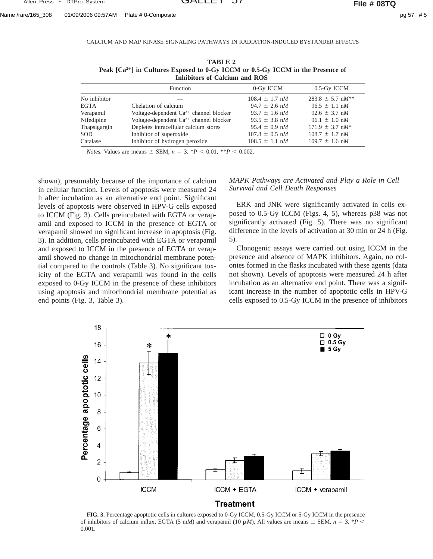Name /rare/165\_308 01/09/2006 09:57AM Plate # 0-Composite pg 57 # 5

CALCIUM AND MAP KINASE SIGNALING PATHWAYS IN RADIATION-INDUCED BYSTANDER EFFECTS

| TABLE 2                                                                                     |
|---------------------------------------------------------------------------------------------|
| Peak [Ca <sup>2+</sup> ] in Cultures Exposed to 0-Gy ICCM or 0.5-Gy ICCM in the Presence of |
| Inhibitors of Calcium and ROS                                                               |

|              | Function                                           | 0-Gy ICCM                  | 0.5-Gy ICCM                     |
|--------------|----------------------------------------------------|----------------------------|---------------------------------|
| No inhibitor |                                                    | $108.4 \pm 1.7$ nM         | $283.8 \pm 5.7$ nM**            |
| <b>EGTA</b>  | Chelation of calcium                               | $94.7 \pm 2.6$ nM          | $96.5 \pm 1.1$ nM               |
| Verapamil    | Voltage-dependent $Ca^{2+}$ channel blocker        | $93.7 \pm 1.6$ nM          | $92.6 \pm 3.7$ nM               |
| Nifedipine   | Voltage-dependent Ca <sup>2+</sup> channel blocker | $93.5 \pm 3.8$ nM          | $96.1 \pm 1.0$ nM               |
| Thapsigargin | Depletes intracellular calcium stores              | $95.4 \pm 0.9$ nM          | $171.9 \pm 3.7$ nM <sup>*</sup> |
| SOD          | Inhibitor of superoxide                            | $107.8 \pm 0.5$ nM         | $108.7 \pm 1.7$ nM              |
| Catalase     | Inhibitor of hydrogen peroxide                     | $108.5 \pm 1.1 \text{ n}M$ | $109.7 \pm 1.6$ nM              |

*Notes.* Values are means  $\pm$  SEM,  $n = 3$ . \**P* < 0.01, \*\**P* < 0.002.

shown), presumably because of the importance of calcium in cellular function. Levels of apoptosis were measured 24 h after incubation as an alternative end point. Significant levels of apoptosis were observed in HPV-G cells exposed to ICCM (Fig. 3). Cells preincubated with EGTA or verapamil and exposed to ICCM in the presence of EGTA or verapamil showed no significant increase in apoptosis (Fig. 3). In addition, cells preincubated with EGTA or verapamil and exposed to ICCM in the presence of EGTA or verapamil showed no change in mitochondrial membrane potential compared to the controls (Table 3). No significant toxicity of the EGTA and verapamil was found in the cells exposed to 0-Gy ICCM in the presence of these inhibitors using apoptosis and mitochondrial membrane potential as end points (Fig. 3, Table 3).

## *MAPK Pathways are Activated and Play a Role in Cell Survival and Cell Death Responses*

ERK and JNK were significantly activated in cells exposed to 0.5-Gy ICCM (Figs. 4, 5), whereas p38 was not significantly activated (Fig. 5). There was no significant difference in the levels of activation at 30 min or 24 h (Fig. 5).

Clonogenic assays were carried out using ICCM in the presence and absence of MAPK inhibitors. Again, no colonies formed in the flasks incubated with these agents (data not shown). Levels of apoptosis were measured 24 h after incubation as an alternative end point. There was a significant increase in the number of apoptotic cells in HPV-G cells exposed to 0.5-Gy ICCM in the presence of inhibitors



**FIG. 3.** Percentage apoptotic cells in cultures exposed to 0-Gy ICCM, 0.5-Gy ICCM or 5-Gy ICCM in the presence of inhibitors of calcium influx, EGTA (5 m*M*) and verapamil (10  $\mu$ *M*). All values are means  $\pm$  SEM,  $n = 3$ . \**P* < 0.001.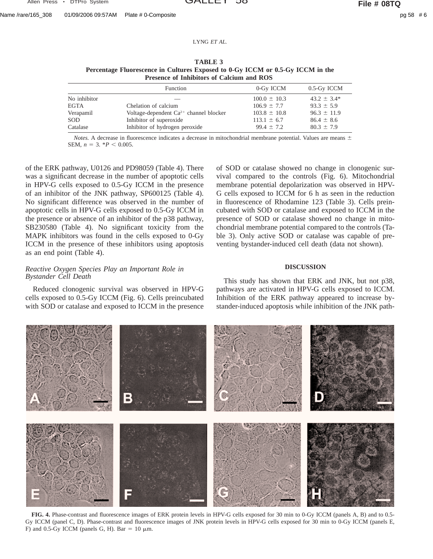Name /rare/165\_308 01/09/2006 09:57AM Plate # 0-Composite pg 58 # 6

LYNG *ET AL.*

## **TABLE 3**

| Percentage Fluorescence in Cultures Exposed to 0-Gy ICCM or 0.5-Gy ICCM in the |  |  |  |
|--------------------------------------------------------------------------------|--|--|--|
| Presence of Inhibitors of Calcium and ROS                                      |  |  |  |

|              | Function                                    | 0-Gy ICCM        | 0.5-Gy ICCM      |
|--------------|---------------------------------------------|------------------|------------------|
| No inhibitor |                                             | $100.0 \pm 10.3$ | $43.2 \pm 3.4^*$ |
| EGTA         | Chelation of calcium                        | $106.9 \pm 7.7$  | $93.3 \pm 5.9$   |
| Verapamil    | Voltage-dependent $Ca^{2+}$ channel blocker | $103.8 \pm 10.8$ | $96.3 \pm 11.9$  |
| SOD          | Inhibitor of superoxide                     | $113.1 \pm 6.7$  | $86.4 \pm 8.6$   |
| Catalase     | Inhibitor of hydrogen peroxide              | $99.4 \pm 7.2$   | $80.3 \pm 7.9$   |

*Notes.* A decrease in fluorescence indicates a decrease in mitochondrial membrane potential. Values are means  $\pm$ SEM,  $n = 3$ .  $*P < 0.005$ .

of the ERK pathway, U0126 and PD98059 (Table 4). There was a significant decrease in the number of apoptotic cells in HPV-G cells exposed to 0.5-Gy ICCM in the presence of an inhibitor of the JNK pathway, SP600125 (Table 4). No significant difference was observed in the number of apoptotic cells in HPV-G cells exposed to 0.5-Gy ICCM in the presence or absence of an inhibitor of the p38 pathway, SB230580 (Table 4). No significant toxicity from the MAPK inhibitors was found in the cells exposed to 0-Gy ICCM in the presence of these inhibitors using apoptosis as an end point (Table 4).

## *Reactive Oxygen Species Play an Important Role in Bystander Cell Death*

Reduced clonogenic survival was observed in HPV-G cells exposed to 0.5-Gy ICCM (Fig. 6). Cells preincubated with SOD or catalase and exposed to ICCM in the presence

of SOD or catalase showed no change in clonogenic survival compared to the controls (Fig. 6). Mitochondrial membrane potential depolarization was observed in HPV-G cells exposed to ICCM for 6 h as seen in the reduction in fluorescence of Rhodamine 123 (Table 3). Cells preincubated with SOD or catalase and exposed to ICCM in the presence of SOD or catalase showed no change in mitochondrial membrane potential compared to the controls (Table 3). Only active SOD or catalase was capable of preventing bystander-induced cell death (data not shown).

## **DISCUSSION**

This study has shown that ERK and JNK, but not p38, pathways are activated in HPV-G cells exposed to ICCM. Inhibition of the ERK pathway appeared to increase bystander-induced apoptosis while inhibition of the JNK path-



**FIG. 4.** Phase-contrast and fluorescence images of ERK protein levels in HPV-G cells exposed for 30 min to 0-Gy ICCM (panels A, B) and to 0.5- Gy ICCM (panel C, D). Phase-contrast and fluorescence images of JNK protein levels in HPV-G cells exposed for 30 min to 0-Gy ICCM (panels E, F) and 0.5-Gy ICCM (panels G, H). Bar = 10  $\mu$ m.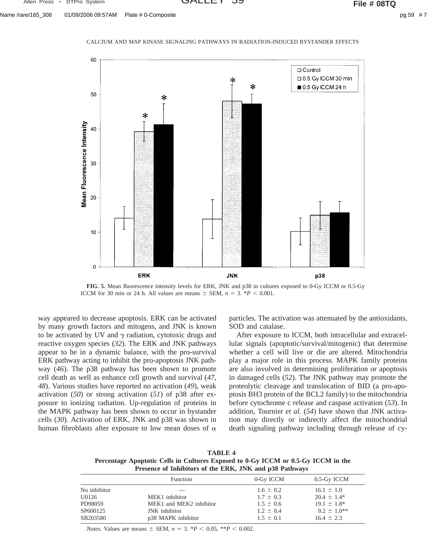Name /rare/165\_308 01/09/2006 09:57AM Plate # 0-Composite pg 59 # 7



**FIG. 5.** Mean fluorescence intensity levels for ERK, JNK and p38 in cultures exposed to 0-Gy ICCM or 0.5-Gy ICCM for 30 min or 24 h. All values are means  $\pm$  SEM,  $n = 3$ . \* $P < 0.001$ .

way appeared to decrease apoptosis. ERK can be activated by many growth factors and mitogens, and JNK is known to be activated by UV and  $\gamma$  radiation, cytotoxic drugs and reactive oxygen species (*32*). The ERK and JNK pathways appear to be in a dynamic balance, with the pro-survival ERK pathway acting to inhibit the pro-apoptosis JNK pathway (*46*). The p38 pathway has been shown to promote cell death as well as enhance cell growth and survival (*47, 48*). Various studies have reported no activation (*49*), weak activation (*50*) or strong activation (*51*) of p38 after exposure to ionizing radiation. Up-regulation of proteins in the MAPK pathway has been shown to occur in bystander cells (*30*). Activation of ERK, JNK and p38 was shown in human fibroblasts after exposure to low mean doses of  $\alpha$ 

particles. The activation was attenuated by the antioxidants, SOD and catalase.

After exposure to ICCM, both intracellular and extracellular signals (apoptotic/survival/mitogenic) that determine whether a cell will live or die are altered. Mitochondria play a major role in this process. MAPK family proteins are also involved in determining proliferation or apoptosis in damaged cells (*52*). The JNK pathway may promote the proteolytic cleavage and translocation of BID (a pro-apoptosis BH3 protein of the BCL2 family) to the mitochondria before cytochrome c release and caspase activation (*53*). In addition, Tournier *et al.* (*54*) have shown that JNK activation may directly or indirectly affect the mitochondrial death signaling pathway including through release of cy-

**TABLE 4 Percentage Apoptotic Cells in Cultures Exposed to 0-Gy ICCM or 0.5-Gy ICCM in the Presence of Inhibitors of the ERK, JNK and p38 Pathways**

|              | Function                | 0-Gy ICCM     | 0.5-Gy ICCM        |  |
|--------------|-------------------------|---------------|--------------------|--|
| No inhibitor |                         | $1.6 \pm 0.2$ | $16.1 \pm 1.0$     |  |
| U0126        | MEK1 inhibitor          | $1.7 \pm 0.3$ | $20.4 \pm 1.4^*$   |  |
| PD98059      | MEK1 and MEK2 inhibitor | $1.5 \pm 0.6$ | $19.1 \pm 1.8^*$   |  |
| SP600125     | <b>JNK</b> inhibitor    | $1.2 \pm 0.4$ | $9.2 \pm 1.0^{**}$ |  |
| SB203580     | p38 MAPK inhibitor      | $1.5 \pm 0.1$ | $16.4 \pm 2.3$     |  |
|              |                         |               |                    |  |

*Notes.* Values are means  $\pm$  SEM,  $n = 3$ . \**P* < 0.05, \*\**P* < 0.002.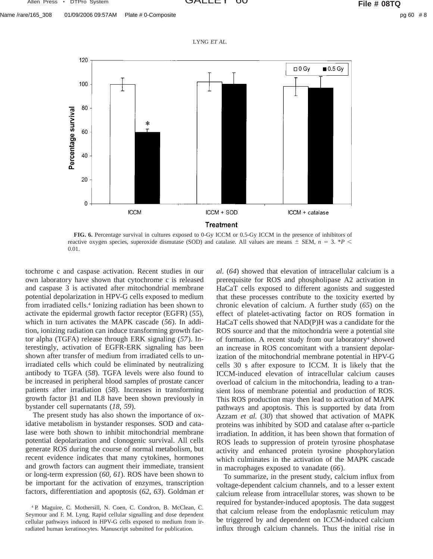



**FIG. 6.** Percentage survival in cultures exposed to 0-Gy ICCM or 0.5-Gy ICCM in the presence of inhibitors of reactive oxygen species, superoxide dismutase (SOD) and catalase. All values are means  $\pm$  SEM,  $n = 3$ . \**P* < 0.01.

tochrome c and caspase activation. Recent studies in our own laboratory have shown that cytochrome c is released and caspase 3 is activated after mitochondrial membrane potential depolarization in HPV-G cells exposed to medium from irradiated cells.4 Ionizing radiation has been shown to activate the epidermal growth factor receptor (EGFR) (*55*), which in turn activates the MAPK cascade (*56*). In addition, ionizing radiation can induce transforming growth factor alpha (TGFA) release through ERK signaling (*57*). Interestingly, activation of EGFR-ERK signaling has been shown after transfer of medium from irradiated cells to unirradiated cells which could be eliminated by neutralizing antibody to TGFA (*58*). TGFA levels were also found to be increased in peripheral blood samples of prostate cancer patients after irradiation (*58*). Increases in transforming growth factor  $\beta1$  and IL8 have been shown previously in bystander cell supernatants (*18, 59*).

The present study has also shown the importance of oxidative metabolism in bystander responses. SOD and catalase were both shown to inhibit mitochondrial membrane potential depolarization and clonogenic survival. All cells generate ROS during the course of normal metabolism, but recent evidence indicates that many cytokines, hormones and growth factors can augment their immediate, transient or long-term expression (*60, 61*). ROS have been shown to be important for the activation of enzymes, transcription factors, differentiation and apoptosis (*62, 63*). Goldman *et*

*al.* (*64*) showed that elevation of intracellular calcium is a prerequisite for ROS and phospholipase A2 activation in HaCaT cells exposed to different agonists and suggested that these processes contribute to the toxicity exerted by chronic elevation of calcium. A further study (*65*) on the effect of platelet-activating factor on ROS formation in HaCaT cells showed that NAD(P)H was a candidate for the ROS source and that the mitochondria were a potential site of formation. A recent study from our laboratory<sup>4</sup> showed an increase in ROS concomitant with a transient depolarization of the mitochondrial membrane potential in HPV-G cells 30 s after exposure to ICCM. It is likely that the ICCM-induced elevation of intracellular calcium causes overload of calcium in the mitochondria, leading to a transient loss of membrane potential and production of ROS. This ROS production may then lead to activation of MAPK pathways and apoptosis. This is supported by data from Azzam *et al.* (*30*) that showed that activation of MAPK proteins was inhibited by SOD and catalase after  $\alpha$ -particle irradiation. In addition, it has been shown that formation of ROS leads to suppression of protein tyrosine phosphatase activity and enhanced protein tyrosine phosphorylation which culminates in the activation of the MAPK cascade in macrophages exposed to vanadate (*66*).

To summarize, in the present study, calcium influx from voltage-dependent calcium channels, and to a lesser extent calcium release from intracellular stores, was shown to be required for bystander-induced apoptosis. The data suggest that calcium release from the endoplasmic reticulum may be triggered by and dependent on ICCM-induced calcium influx through calcium channels. Thus the initial rise in

<sup>4</sup> P. Maguire, C. Mothersill, N. Coen, C. Condron, B. McClean, C. Seymour and F. M. Lyng, Rapid cellular signalling and dose dependent cellular pathways induced in HPV-G cells exposed to medium from irradiated human keratinocytes. Manuscript submitted for publication.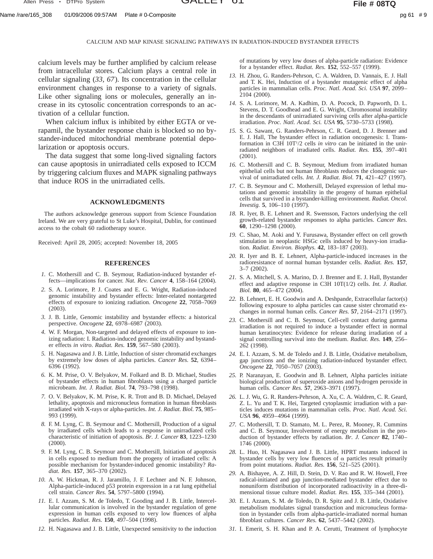CALCIUM AND MAP KINASE SIGNALING PATHWAYS IN RADIATION-INDUCED BYSTANDER EFFECTS

calcium levels may be further amplified by calcium release from intracellular stores. Calcium plays a central role in cellular signaling (*33, 67*). Its concentration in the cellular environment changes in response to a variety of signals. Like other signaling ions or molecules, generally an increase in its cytosolic concentration corresponds to an activation of a cellular function.

When calcium influx is inhibited by either EGTA or verapamil, the bystander response chain is blocked so no bystander-induced mitochondrial membrane potential depolarization or apoptosis occurs.

The data suggest that some long-lived signaling factors can cause apoptosis in unirradiated cells exposed to ICCM by triggering calcium fluxes and MAPK signaling pathways that induce ROS in the unirradiated cells.

## **ACKNOWLEDGMENTS**

The authors acknowledge generous support from Science Foundation Ireland. We are very grateful to St Luke's Hospital, Dublin, for continued access to the cobalt 60 radiotherapy source.

Received: April 28, 2005; accepted: November 18, 2005

## **REFERENCES**

- *1.* C. Mothersill and C. B. Seymour, Radiation-induced bystander effects—implications for cancer. *Nat. Rev. Cancer* **4**, 158–164 (2004).
- *2.* S. A. Lorimore, P. J. Coates and E. G. Wright, Radiation-induced genomic instability and bystander effects: Inter-related nontargeted effects of exposure to ionizing radiation. *Oncogene* **22**, 7058–7069 (2003).
- *3.* J. B. Little, Genomic instability and bystander effects: a historical perspective. *Oncogene* **22**, 6978–6987 (2003).
- *4.* W. F. Morgan, Non-targeted and delayed effects of exposure to ionizing radiation: I. Radiation-induced genomic instability and bystander effects *in vitro*. *Radiat. Res.* **159**, 567–580 (2003).
- *5.* H. Nagasawa and J. B. Little, Induction of sister chromatid exchanges by extremely low doses of alpha particles. *Cancer Res.* **52**, 6394– 6396 (1992).
- *6.* K. M. Prise, O. V. Belyakov, M. Folkard and B. D. Michael, Studies of bystander effects in human fibroblasts using a charged particle microbeam. *Int. J. Radiat. Biol.* **74**, 793–798 (1998).
- *7.* O. V. Belyakov, K. M. Prise, K. R. Trott and B. D. Michael, Delayed lethality, apoptosis and micronucleus formation in human fibroblasts irradiated with X-rays or alpha-particles. *Int. J. Radiat. Biol.* **75**, 985– 993 (1999).
- *8.* F. M. Lyng, C. B. Seymour and C. Mothersill, Production of a signal by irradiated cells which leads to a response in unirradiated cells characteristic of initiation of apoptosis. *Br. J. Cancer* **83**, 1223–1230 (2000).
- *9.* F. M. Lyng, C. B. Seymour and C. Mothersill, Initiation of apoptosis in cells exposed to medium from the progeny of irradiated cells: A possible mechanism for bystander-induced genomic instability? *Radiat. Res.* **157**, 365–370 (2002).
- *10.* A. W. Hickman, R. J. Jaramillo, J. F. Lechner and N. F. Johnson, Alpha-particle-induced p53 protein expression in a rat lung epithelial cell strain. *Cancer Res.* **54**, 5797–5800 (1994).
- *11.* E. I. Azzam, S. M. de Toledo, T. Gooding and J. B. Little, Intercellular communication is involved in the bystander regulation of gene expression in human cells exposed to very low fluences of alpha particles. *Radiat. Res.* **150**, 497–504 (1998).
- *12.* H. Nagasawa and J. B. Little, Unexpected sensitivity to the induction

of mutations by very low doses of alpha-particle radiation: Evidence for a bystander effect. *Radiat. Res.* **152**, 552–557 (1999).

- *13.* H. Zhou, G. Randers-Pehrson, C. A. Waldren, D. Vannais, E. J. Hall and T. K. Hei, Induction of a bystander mutagenic effect of alpha particles in mammalian cells. *Proc. Natl. Acad. Sci. USA* **97**, 2099– 2104 (2000).
- *14.* S. A. Lorimore, M. A. Kadhim, D. A. Pocock, D. Papworth, D. L. Stevens, D. T. Goodhead and E. G. Wright, Chromosomal instability in the descendants of unirradiated surviving cells after alpha-particle irradiation. *Proc. Natl. Acad. Sci. USA* **95**, 5730–5733 (1998).
- *15.* S. G. Sawant, G. Randers-Pehrson, C. R. Geard, D. J. Brenner and E. J. Hall, The bystander effect in radiation oncogenesis: I. Transformation in C3H 10T<sup>1</sup>/2 cells *in vitro* can be initiated in the unirradiated neighbors of irradiated cells. *Radiat. Res.* **155**, 397–401 (2001).
- *16.* C. Mothersill and C. B. Seymour, Medium from irradiated human epithelial cells but not human fibroblasts reduces the clonogenic survival of unirradiated cells. *Int. J. Radiat. Biol.* **71**, 421–427 (1997).
- *17.* C. B. Seymour and C. Mothersill, Delayed expression of lethal mutations and genomic instability in the progeny of human epithelial cells that survived in a bystander-killing environment. *Radiat. Oncol. Investig.* **5**, 106–110 (1997).
- *18.* R. Iyer, B. E. Lehnert and R. Swensson, Factors underlying the cell growth-related bystander responses to alpha particles. *Cancer Res.* **60**, 1290–1298 (2000).
- *19.* C. Shao, M. Aoki and Y. Furusawa, Bystander effect on cell growth stimulation in neoplastic HSGc cells induced by heavy-ion irradiation. *Radiat. Environ. Biophys.* **42**, 183–187 (2003).
- *20.* R. Iyer and B. E. Lehnert, Alpha-particle-induced increases in the radioresistance of normal human bystander cells. *Radiat. Res.* **157**, 3–7 (2002).
- *21.* S. A. Mitchell, S. A. Marino, D. J. Brenner and E. J. Hall, Bystander effect and adaptive response in C3H 10T(1/2) cells. *Int. J. Radiat. Biol.* **80**, 465–472 (2004).
- *22.* B. Lehnert, E. H. Goodwin and A. Deshpande, Extracellular factor(s) following exposure to alpha particles can cause sister chromatid exchanges in normal human cells. *Cancer Res.* **57**, 2164–2171 (1997).
- *23.* C. Mothersill and C. B. Seymour, Cell-cell contact during gamma irradiation is not required to induce a bystander effect in normal human keratinocytes: Evidence for release during irradiation of a signal controlling survival into the medium. *Radiat. Res.* **149**, 256– 262 (1998).
- *24.* E. I. Azzam, S. M. de Toledo and J. B. Little, Oxidative metabolism, gap junctions and the ionizing radiation-induced bystander effect. *Oncogene* **22**, 7050–7057 (2003).
- *25.* P. Naranayan, E. Goodwin and B. Lehnert, Alpha particles initiate biological production of superoxide anions and hydrogen peroxide in human cells. *Cancer Res.* **57**, 2963–3971 (1997).
- *26.* L. J. Wu, G. R. Randers-Pehrson, A. Xu, C. A. Waldren, C. R. Geard, Z. L. Yu and T. K. Hei, Targeted cytoplasmic irradiation with a particles induces mutations in mammalian cells. *Proc. Natl. Acad. Sci. USA* **96**, 4959–4964 (1999).
- *27.* C. Mothersill, T. D. Stamato, M. L. Perez, R. Mooney, R. Cummins and C. B. Seymour, Involvement of energy metabolism in the production of bystander effects by radiation. *Br. J. Cancer* **82**, 1740– 1746 (2000).
- *28.* L. Huo, H. Nagasawa and J. B. Little, HPRT mutants induced in bystander cells by very low fluences of  $\alpha$  particles result primarily from point mutations. *Radiat. Res.* **156**, 521–525 (2001).
- *29.* A. Bishayee, A. Z. Hill, D. Stein, D. V. Rao and R. W. Howell, Free radical-initiated and gap junction-mediated bystander effect due to nonuniform distribution of incorporated radioactivity in a three-dimensional tissue culture model. *Radiat. Res.* **155**, 335–344 (2001).
- *30.* E. I. Azzam, S. M. de Toledo, D. R. Spitz and J. B. Little, Oxidative metabolism modulates signal transduction and micronucleus formation in bystander cells from alpha-particle-irradiated normal human fibroblast cultures. *Cancer Res.* **62**, 5437–5442 (2002).
- *31.* I. Emerit, S. H. Khan and P. A. Cerutti, Treatment of lymphocyte